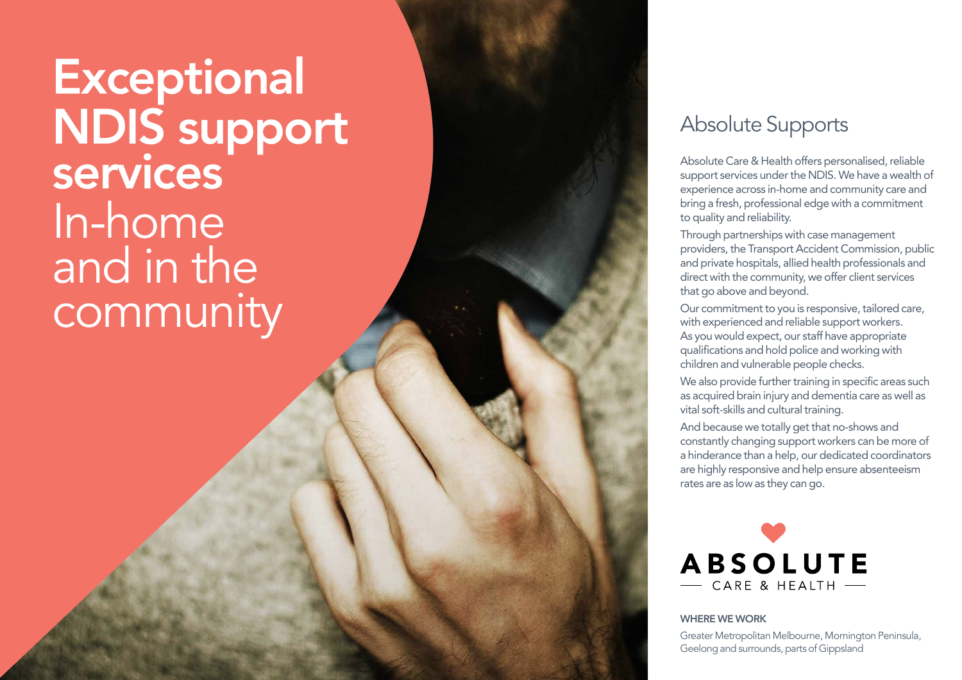**Exceptional** NDIS support services In-home and in the community

## Absolute Supports

Absolute Care & Health offers personalised, reliable support services under the NDIS. We have a wealth of experience across in-home and community care and bring a fresh, professional edge with a commitment to quality and reliability.

Through partnerships with case management providers, the Transport Accident Commission, public and private hospitals, allied health professionals and direct with the community, we offer client services that go above and beyond.

Our commitment to you is responsive, tailored care, with experienced and reliable support workers. As you would expect, our staff have appropriate qualifications and hold police and working with children and vulnerable people checks.

We also provide further training in specific areas such as acquired brain injury and dementia care as well as vital soft-skills and cultural training.

And because we totally get that no-shows and constantly changing support workers can be more of a hinderance than a help, our dedicated coordinators are highly responsive and help ensure absenteeism rates are as low as they can go.



#### WHERE WE WORK

Greater Metropolitan Melbourne, Mornington Peninsula, Geelong and surrounds, parts of Gippsland